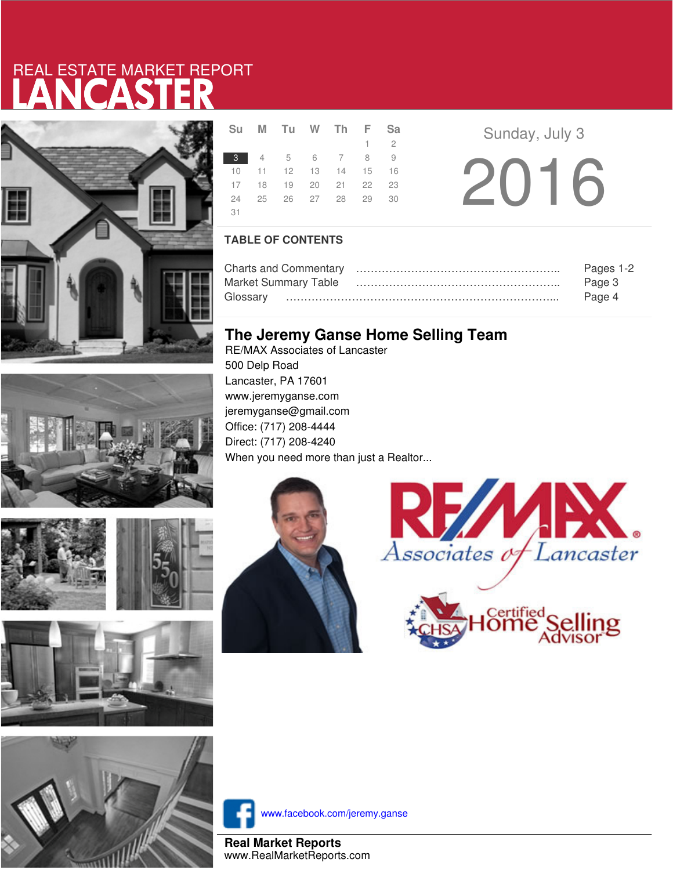# LANCASTER REAL ESTATE MARKET REPORT









|     | Su M Tu W Th F Sa          |  |             |  |
|-----|----------------------------|--|-------------|--|
|     |                            |  | $1 \quad 2$ |  |
|     | 3 4 5 6 7 8 9              |  |             |  |
|     | 10 11 12 13 14 15 16       |  |             |  |
|     | 17 18 19 20 21 22 23       |  |             |  |
|     | 24  25  26  27  28  29  30 |  |             |  |
| -31 |                            |  |             |  |

**a Sunday**, July 3 2016

### **TABLE OF CONTENTS**

|                             | Pages 1-2 |
|-----------------------------|-----------|
| <b>Market Summary Table</b> | Page 3    |
|                             | Page 4    |

### **The Jeremy Ganse Home Selling Team**

RE/MAX Associates of Lancaster 500 Delp Road Lancaster, PA 17601 www.jeremyganse.com jeremyganse@gmail.com Office: (717) 208-4444 Direct: (717) 208-4240 When you need more than just a Realtor...







www.facebook.com/jeremy.ganse

**Real Market Reports** www.RealMarketReports.com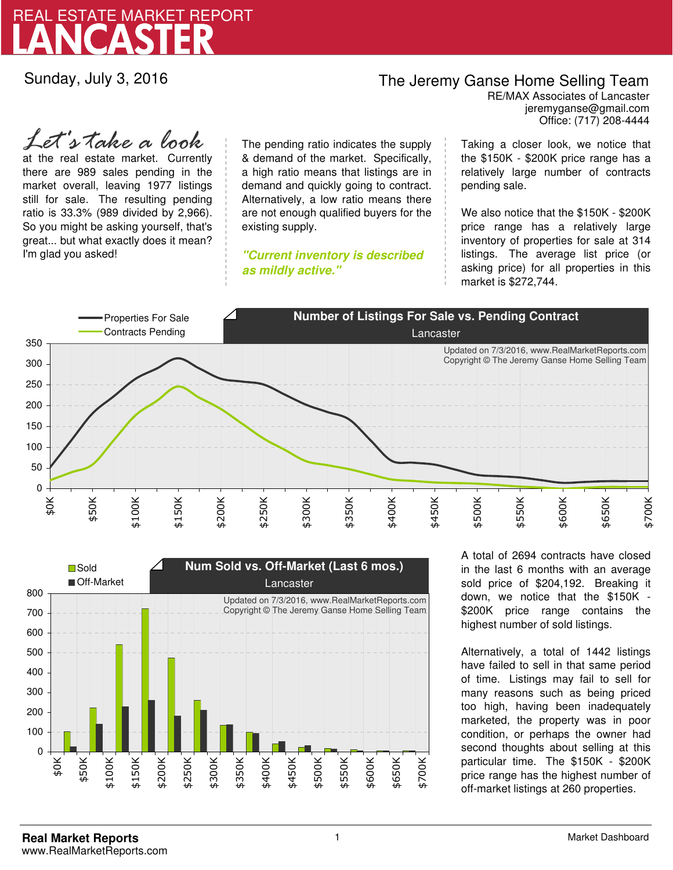

Sunday, July 3, 2016

## The Jeremy Ganse Home Selling Team

jeremyganse@gmail.com RE/MAX Associates of Lancaster Office: (717) 208-4444

at the real estate market. Currently there are 989 sales pending in the market overall, leaving 1977 listings still for sale. The resulting pending ratio is 33.3% (989 divided by 2,966). So you might be asking yourself, that's great... but what exactly does it mean? I'm glad you asked! *Let's take a look*

The pending ratio indicates the supply & demand of the market. Specifically, a high ratio means that listings are in demand and quickly going to contract. Alternatively, a low ratio means there are not enough qualified buyers for the existing supply.

**"Current inventory is described as mildly active."**

Taking a closer look, we notice that the \$150K - \$200K price range has a relatively large number of contracts pending sale.

We also notice that the \$150K - \$200K price range has a relatively large inventory of properties for sale at 314 listings. The average list price (or asking price) for all properties in this market is \$272,744.





A total of 2694 contracts have closed in the last 6 months with an average sold price of \$204,192. Breaking it down, we notice that the \$150K - \$200K price range contains the highest number of sold listings.

Alternatively, a total of 1442 listings have failed to sell in that same period of time. Listings may fail to sell for many reasons such as being priced too high, having been inadequately marketed, the property was in poor condition, or perhaps the owner had second thoughts about selling at this particular time. The \$150K - \$200K price range has the highest number of off-market listings at 260 properties.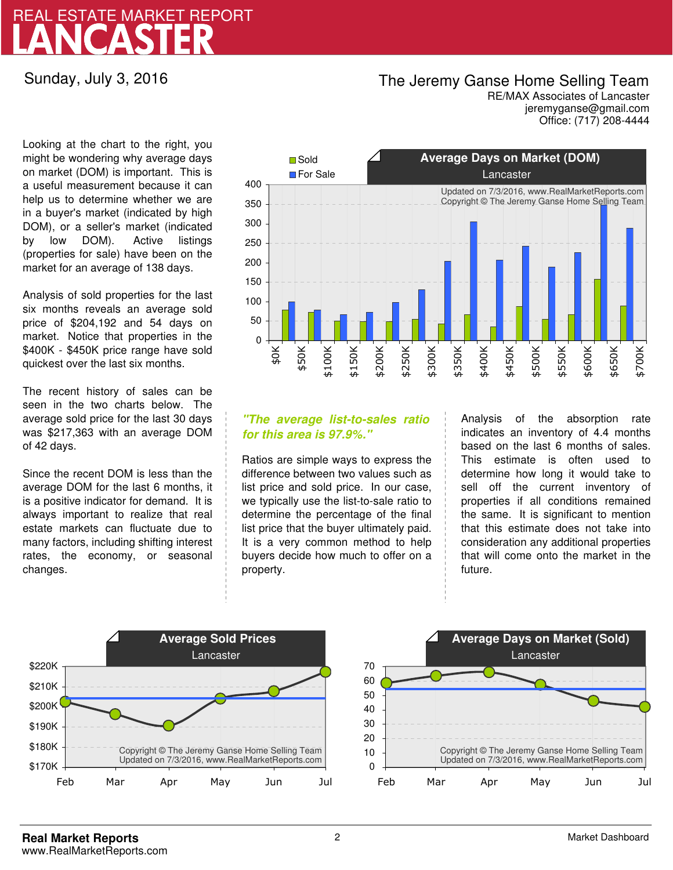## LANCASTER REAL ESTATE MARKET REPORT

Sunday, July 3, 2016

### The Jeremy Ganse Home Selling Team

jeremyganse@gmail.com RE/MAX Associates of Lancaster Office: (717) 208-4444

Looking at the chart to the right, you might be wondering why average days on market (DOM) is important. This is a useful measurement because it can help us to determine whether we are in a buyer's market (indicated by high DOM), or a seller's market (indicated by low DOM). Active listings (properties for sale) have been on the market for an average of 138 days.

Analysis of sold properties for the last six months reveals an average sold price of \$204,192 and 54 days on market. Notice that properties in the \$400K - \$450K price range have sold quickest over the last six months.

The recent history of sales can be seen in the two charts below. The average sold price for the last 30 days was \$217,363 with an average DOM of 42 days.

Since the recent DOM is less than the average DOM for the last 6 months, it is a positive indicator for demand. It is always important to realize that real estate markets can fluctuate due to many factors, including shifting interest rates, the economy, or seasonal changes.



### **"The average list-to-sales ratio for this area is 97.9%."**

Ratios are simple ways to express the difference between two values such as list price and sold price. In our case, we typically use the list-to-sale ratio to determine the percentage of the final list price that the buyer ultimately paid. It is a very common method to help buyers decide how much to offer on a property.

Analysis of the absorption rate indicates an inventory of 4.4 months based on the last 6 months of sales. This estimate is often used to determine how long it would take to sell off the current inventory of properties if all conditions remained the same. It is significant to mention that this estimate does not take into consideration any additional properties that will come onto the market in the future.



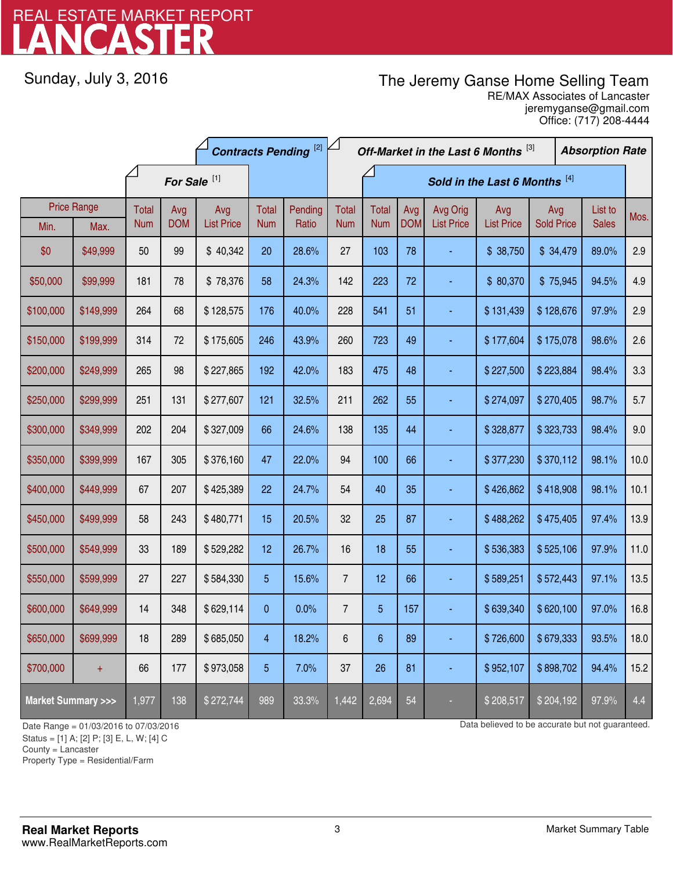# LANCASTER REAL ESTATE MARKET REPORT

Sunday, July 3, 2016

## The Jeremy Ganse Home Selling Team

jeremyganse@gmail.com RE/MAX Associates of Lancaster Office: (717) 208-4444

|                                    |                    | <b>Contracts Pending [2]</b> |                         |                   | Off-Market in the Last 6 Months [3] |         |                               |                 |            | <b>Absorption Rate</b> |                   |                   |  |              |      |
|------------------------------------|--------------------|------------------------------|-------------------------|-------------------|-------------------------------------|---------|-------------------------------|-----------------|------------|------------------------|-------------------|-------------------|--|--------------|------|
|                                    |                    |                              | For Sale <sup>[1]</sup> |                   |                                     |         | Sold in the Last 6 Months [4] |                 |            |                        |                   |                   |  |              |      |
|                                    | <b>Price Range</b> | Total                        | Avg                     | Avg               | Total                               | Pending | <b>Total</b>                  | <b>Total</b>    | Avg        | Avg Orig               | Avg               | Avg               |  | List to      | Mos. |
| Min.                               | Max.               | <b>Num</b>                   | <b>DOM</b>              | <b>List Price</b> | <b>Num</b>                          | Ratio   | <b>Num</b>                    | <b>Num</b>      | <b>DOM</b> | <b>List Price</b>      | <b>List Price</b> | <b>Sold Price</b> |  | <b>Sales</b> |      |
| \$0                                | \$49,999           | 50                           | 99                      | \$40,342          | 20                                  | 28.6%   | 27                            | 103             | 78         |                        | \$38,750          | \$34,479          |  | 89.0%        | 2.9  |
| \$50,000                           | \$99,999           | 181                          | 78                      | \$78,376          | 58                                  | 24.3%   | 142                           | 223             | 72         |                        | \$80,370          | \$75,945          |  | 94.5%        | 4.9  |
| \$100,000                          | \$149,999          | 264                          | 68                      | \$128,575         | 176                                 | 40.0%   | 228                           | 541             | 51         |                        | \$131,439         | \$128,676         |  | 97.9%        | 2.9  |
| \$150,000                          | \$199,999          | 314                          | 72                      | \$175,605         | 246                                 | 43.9%   | 260                           | 723             | 49         |                        | \$177,604         | \$175,078         |  | 98.6%        | 2.6  |
| \$200,000                          | \$249,999          | 265                          | 98                      | \$227,865         | 192                                 | 42.0%   | 183                           | 475             | 48         |                        | \$227,500         | \$223,884         |  | 98.4%        | 3.3  |
| \$250,000                          | \$299,999          | 251                          | 131                     | \$277,607         | 121                                 | 32.5%   | 211                           | 262             | 55         |                        | \$274,097         | \$270,405         |  | 98.7%        | 5.7  |
| \$300,000                          | \$349,999          | 202                          | 204                     | \$327,009         | 66                                  | 24.6%   | 138                           | 135             | 44         |                        | \$328,877         | \$323,733         |  | 98.4%        | 9.0  |
| \$350,000                          | \$399,999          | 167                          | 305                     | \$376,160         | 47                                  | 22.0%   | 94                            | 100             | 66         |                        | \$377,230         | \$370,112         |  | 98.1%        | 10.0 |
| \$400,000                          | \$449,999          | 67                           | 207                     | \$425,389         | 22                                  | 24.7%   | 54                            | 40              | 35         |                        | \$426,862         | \$418,908         |  | 98.1%        | 10.1 |
| \$450,000                          | \$499,999          | 58                           | 243                     | \$480,771         | 15                                  | 20.5%   | 32                            | 25              | 87         |                        | \$488,262         | \$475,405         |  | 97.4%        | 13.9 |
| \$500,000                          | \$549,999          | 33                           | 189                     | \$529,282         | 12                                  | 26.7%   | 16                            | 18              | 55         |                        | \$536,383         | \$525,106         |  | 97.9%        | 11.0 |
| \$550,000                          | \$599,999          | 27                           | 227                     | \$584,330         | 5                                   | 15.6%   | $\overline{7}$                | 12              | 66         |                        | \$589,251         | \$572,443         |  | 97.1%        | 13.5 |
| \$600,000                          | \$649,999          | 14                           | 348                     | \$629,114         | 0                                   | 0.0%    | $\overline{7}$                | $\overline{5}$  | 157        |                        | \$639,340         | \$620,100         |  | 97.0%        | 16.8 |
| \$650,000                          | \$699,999          | 18                           | 289                     | \$685,050         | 4                                   | 18.2%   | $6\phantom{1}6$               | $6\phantom{1}6$ | 89         |                        | \$726,600         | \$679,333         |  | 93.5%        | 18.0 |
| \$700,000                          | $+$                | 66                           | 177                     | \$973,058         | 5                                   | 7.0%    | 37                            | 26              | 81         |                        | \$952,107         | \$898,702         |  | 94.4%        | 15.2 |
| <b>Market Summary &gt;&gt;&gt;</b> |                    | 1,977                        | 138                     | \$272,744         | 989                                 | 33.3%   | 1,442                         | 2,694           | 54         |                        | \$208,517         | \$204,192         |  | 97.9%        | 4.4  |

Status = [1] A; [2] P; [3] E, L, W; [4] C

County = Lancaster

1

Property Type = Residential/Farm

Date Range = 01/03/2016 to 07/03/2016 contract to 07/03/2016